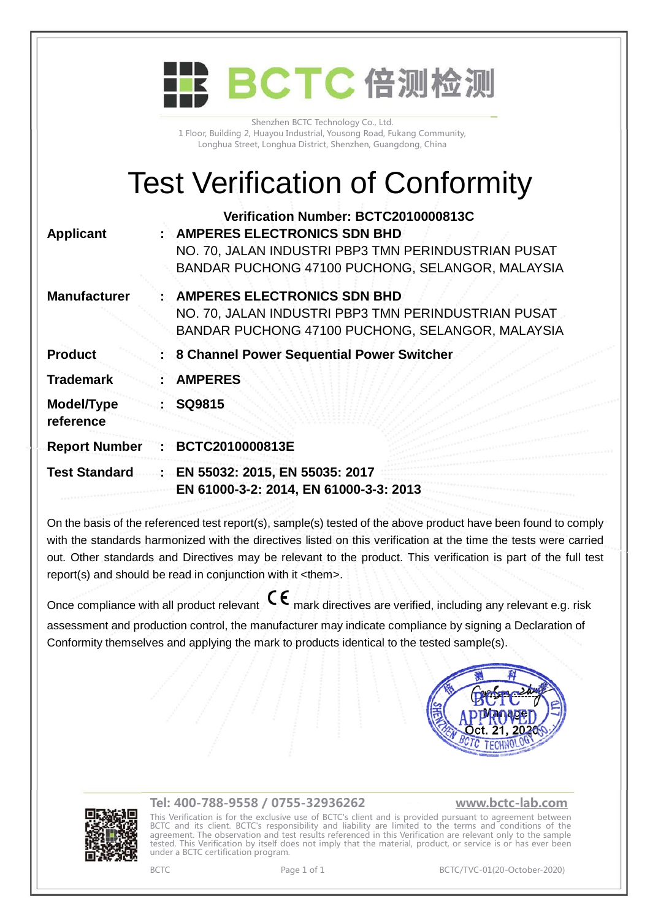|                         | BCTC 倍测检测                                                                                                                                                                             |
|-------------------------|---------------------------------------------------------------------------------------------------------------------------------------------------------------------------------------|
|                         | Shenzhen BCTC Technology Co., Ltd.<br>1 Floor, Building 2, Huayou Industrial, Yousong Road, Fukang Community,<br>Longhua Street, Longhua District, Shenzhen, Guangdong, China         |
|                         | <b>Test Verification of Conformity</b>                                                                                                                                                |
| <b>Applicant</b>        | Verification Number: BCTC2010000813C<br><b>AMPERES ELECTRONICS SDN BHD</b><br>NO. 70, JALAN INDUSTRI PBP3 TMN PERINDUSTRIAN PUSAT<br>BANDAR PUCHONG 47100 PUCHONG, SELANGOR, MALAYSIA |
| <b>Manufacturer</b>     | <b>AMPERES ELECTRONICS SDN BHD</b><br>NO. 70, JALAN INDUSTRI PBP3 TMN PERINDUSTRIAN PUSAT<br>BANDAR PUCHONG 47100 PUCHONG, SELANGOR, MALAYSIA                                         |
| <b>Product</b>          | 8 Channel Power Sequential Power Switcher                                                                                                                                             |
| <b>Trademark</b>        | <b>AMPERES</b>                                                                                                                                                                        |
| Model/Type<br>reference | SQ9815                                                                                                                                                                                |
| <b>Report Number</b>    | BCTC2010000813E                                                                                                                                                                       |
| <b>Test Standard</b>    | EN 55032: 2015, EN 55035: 2017<br>EN 61000-3-2: 2014, EN 61000-3-3: 2013                                                                                                              |
|                         |                                                                                                                                                                                       |

On the basis of the referenced test report(s), sample(s) tested of the above product have been found to comply with the standards harmonized with the directives listed on this verification at the time the tests were carried out. Other standards and Directives may be relevant to the product. This verification is part of the full test report(s) and should be read in conjunction with it <them>.

Once compliance with all product relevant  $\mathsf{C}\mathsf{\epsilon}$  mark directives are verified, including any relevant e.g. risk assessment and production control, the manufacturer may indicate compliance by signing a Declaration of Conformity themselves and applying the mark to products identical to the tested sample(s).





## **Tel: 400-788-9558 / 0755-32936262 [www.bctc-lab.com](http://www.bctc-lab.com)**

This Verification is for the exclusive use of BCTC's client and is provided pursuant to agreement between BCTC and its client. BCTC's responsibility and liability are limited to the terms and conditions of the agreement. The observation and test results referenced in this Verification are relevant only to the sample tested. This Verification by itself does not imply that the material, product, or service is or has ever been under a BCTC certification program.